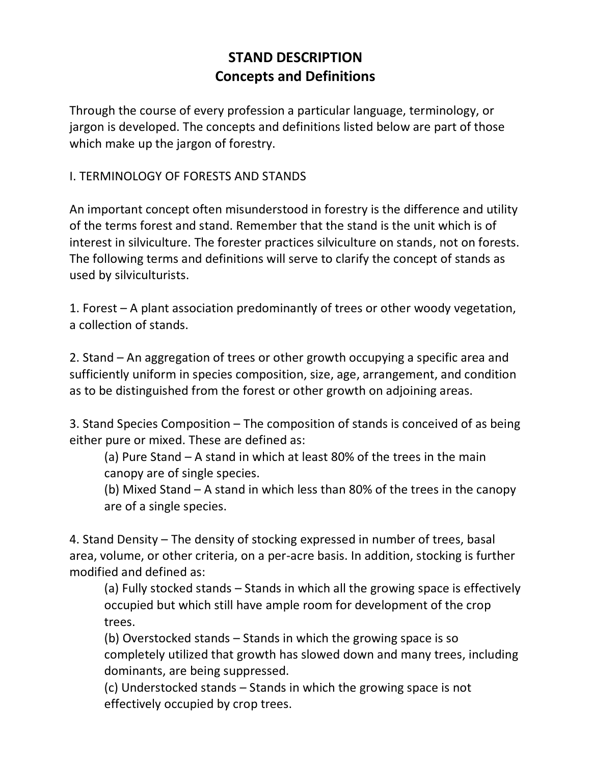## **STAND DESCRIPTION Concepts and Definitions**

Through the course of every profession a particular language, terminology, or jargon is developed. The concepts and definitions listed below are part of those which make up the jargon of forestry.

## I. TERMINOLOGY OF FORESTS AND STANDS

An important concept often misunderstood in forestry is the difference and utility of the terms forest and stand. Remember that the stand is the unit which is of interest in silviculture. The forester practices silviculture on stands, not on forests. The following terms and definitions will serve to clarify the concept of stands as used by silviculturists.

1. Forest – A plant association predominantly of trees or other woody vegetation, a collection of stands.

2. Stand – An aggregation of trees or other growth occupying a specific area and sufficiently uniform in species composition, size, age, arrangement, and condition as to be distinguished from the forest or other growth on adjoining areas.

3. Stand Species Composition – The composition of stands is conceived of as being either pure or mixed. These are defined as:

(a) Pure Stand – A stand in which at least 80% of the trees in the main canopy are of single species.

(b) Mixed Stand – A stand in which less than 80% of the trees in the canopy are of a single species.

4. Stand Density – The density of stocking expressed in number of trees, basal area, volume, or other criteria, on a per-acre basis. In addition, stocking is further modified and defined as:

(a) Fully stocked stands – Stands in which all the growing space is effectively occupied but which still have ample room for development of the crop trees.

(b) Overstocked stands – Stands in which the growing space is so completely utilized that growth has slowed down and many trees, including dominants, are being suppressed.

(c) Understocked stands – Stands in which the growing space is not effectively occupied by crop trees.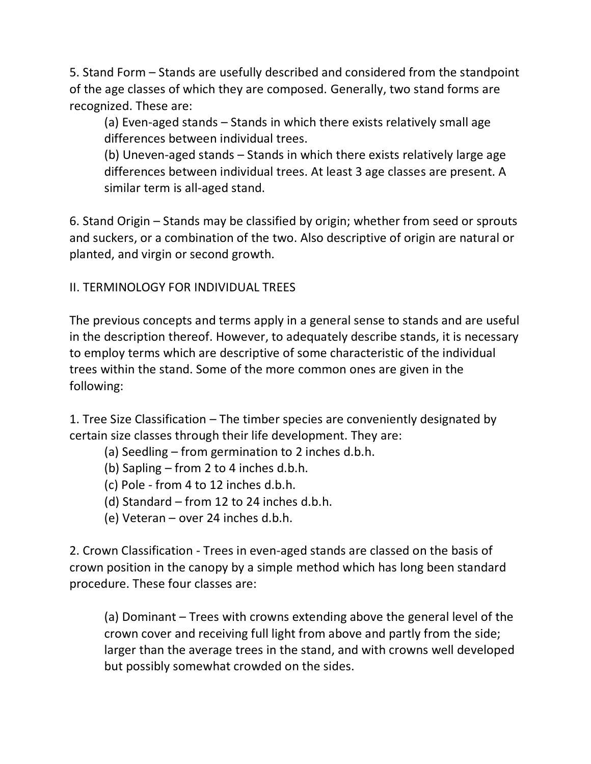5. Stand Form – Stands are usefully described and considered from the standpoint of the age classes of which they are composed. Generally, two stand forms are recognized. These are:

(a) Even-aged stands – Stands in which there exists relatively small age differences between individual trees.

(b) Uneven-aged stands – Stands in which there exists relatively large age differences between individual trees. At least 3 age classes are present. A similar term is all-aged stand.

6. Stand Origin – Stands may be classified by origin; whether from seed or sprouts and suckers, or a combination of the two. Also descriptive of origin are natural or planted, and virgin or second growth.

II. TERMINOLOGY FOR INDIVIDUAL TREES

The previous concepts and terms apply in a general sense to stands and are useful in the description thereof. However, to adequately describe stands, it is necessary to employ terms which are descriptive of some characteristic of the individual trees within the stand. Some of the more common ones are given in the following:

1. Tree Size Classification – The timber species are conveniently designated by certain size classes through their life development. They are:

(a) Seedling – from germination to 2 inches d.b.h.

(b) Sapling – from 2 to 4 inches d.b.h.

(c) Pole - from 4 to 12 inches d.b.h.

(d) Standard – from 12 to 24 inches d.b.h.

(e) Veteran – over 24 inches d.b.h.

2. Crown Classification - Trees in even-aged stands are classed on the basis of crown position in the canopy by a simple method which has long been standard procedure. These four classes are:

(a) Dominant – Trees with crowns extending above the general level of the crown cover and receiving full light from above and partly from the side; larger than the average trees in the stand, and with crowns well developed but possibly somewhat crowded on the sides.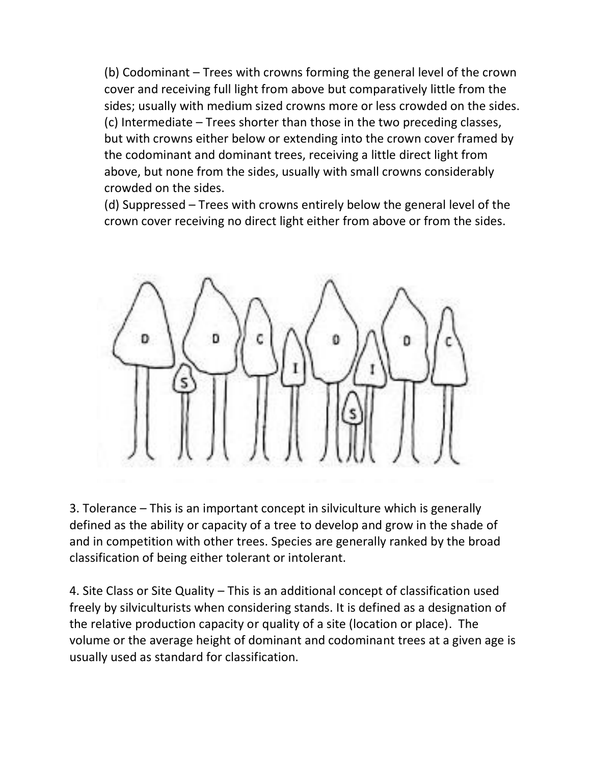(b) Codominant – Trees with crowns forming the general level of the crown cover and receiving full light from above but comparatively little from the sides; usually with medium sized crowns more or less crowded on the sides. (c) Intermediate – Trees shorter than those in the two preceding classes, but with crowns either below or extending into the crown cover framed by the codominant and dominant trees, receiving a little direct light from above, but none from the sides, usually with small crowns considerably crowded on the sides.

(d) Suppressed – Trees with crowns entirely below the general level of the crown cover receiving no direct light either from above or from the sides.



3. Tolerance – This is an important concept in silviculture which is generally defined as the ability or capacity of a tree to develop and grow in the shade of and in competition with other trees. Species are generally ranked by the broad classification of being either tolerant or intolerant.

4. Site Class or Site Quality – This is an additional concept of classification used freely by silviculturists when considering stands. It is defined as a designation of the relative production capacity or quality of a site (location or place). The volume or the average height of dominant and codominant trees at a given age is usually used as standard for classification.